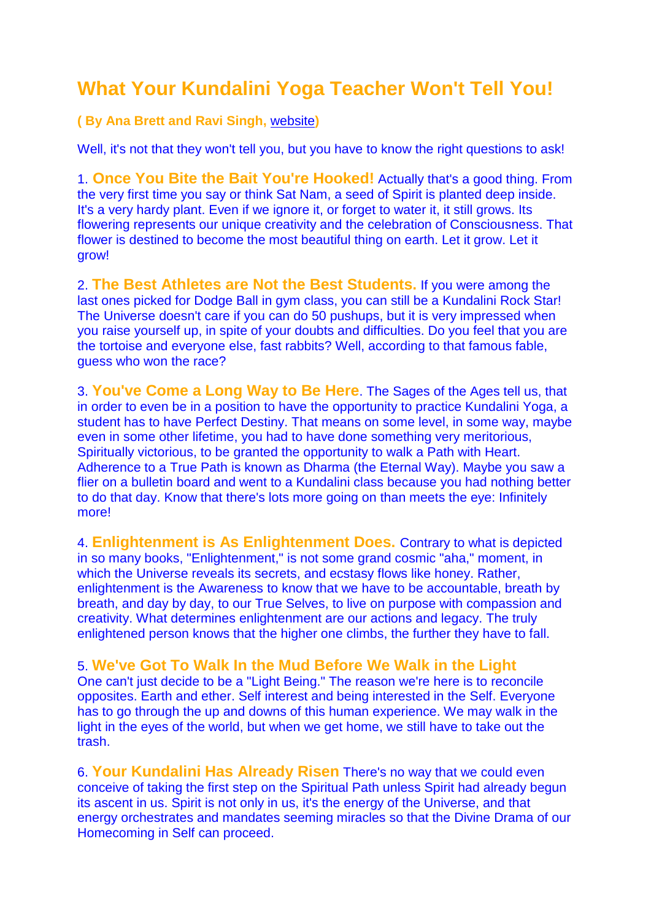## **What Your Kundalini Yoga Teacher Won't Tell You!**

**( By Ana Brett and Ravi Singh,** [website](http://www.raviana.com/)**)**

Well, it's not that they won't tell you, but you have to know the right questions to ask!

1. **Once You Bite the Bait You're Hooked!** Actually that's a good thing. From the very first time you say or think Sat Nam, a seed of Spirit is planted deep inside. It's a very hardy plant. Even if we ignore it, or forget to water it, it still grows. Its flowering represents our unique creativity and the celebration of Consciousness. That flower is destined to become the most beautiful thing on earth. Let it grow. Let it grow!

2. **The Best Athletes are Not the Best Students.** If you were among the last ones picked for Dodge Ball in gym class, you can still be a Kundalini Rock Star! The Universe doesn't care if you can do 50 pushups, but it is very impressed when you raise yourself up, in spite of your doubts and difficulties. Do you feel that you are the tortoise and everyone else, fast rabbits? Well, according to that famous fable, guess who won the race?

3. **You've Come a Long Way to Be Here**. The Sages of the Ages tell us, that in order to even be in a position to have the opportunity to practice Kundalini Yoga, a student has to have Perfect Destiny. That means on some level, in some way, maybe even in some other lifetime, you had to have done something very meritorious, Spiritually victorious, to be granted the opportunity to walk a Path with Heart. Adherence to a True Path is known as Dharma (the Eternal Way). Maybe you saw a flier on a bulletin board and went to a Kundalini class because you had nothing better to do that day. Know that there's lots more going on than meets the eye: Infinitely more!

4. **Enlightenment is As Enlightenment Does.** Contrary to what is depicted in so many books, "Enlightenment," is not some grand cosmic "aha," moment, in which the Universe reveals its secrets, and ecstasy flows like honey. Rather, enlightenment is the Awareness to know that we have to be accountable, breath by breath, and day by day, to our True Selves, to live on purpose with compassion and creativity. What determines enlightenment are our actions and legacy. The truly enlightened person knows that the higher one climbs, the further they have to fall.

5. **We've Got To Walk In the Mud Before We Walk in the Light**

One can't just decide to be a "Light Being." The reason we're here is to reconcile opposites. Earth and ether. Self interest and being interested in the Self. Everyone has to go through the up and downs of this human experience. We may walk in the light in the eyes of the world, but when we get home, we still have to take out the trash.

6. **Your Kundalini Has Already Risen** There's no way that we could even conceive of taking the first step on the Spiritual Path unless Spirit had already begun its ascent in us. Spirit is not only in us, it's the energy of the Universe, and that energy orchestrates and mandates seeming miracles so that the Divine Drama of our Homecoming in Self can proceed.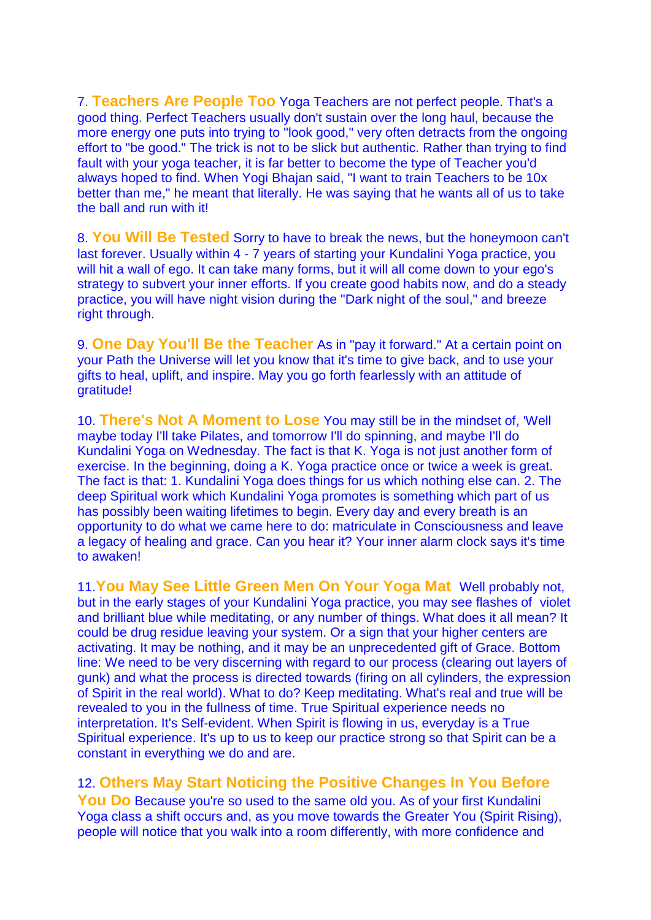7. **Teachers Are People Too** Yoga Teachers are not perfect people. That's a good thing. Perfect Teachers usually don't sustain over the long haul, because the more energy one puts into trying to "look good," very often detracts from the ongoing effort to "be good." The trick is not to be slick but authentic. Rather than trying to find fault with your yoga teacher, it is far better to become the type of Teacher you'd always hoped to find. When Yogi Bhajan said, "I want to train Teachers to be 10x better than me," he meant that literally. He was saying that he wants all of us to take the ball and run with it!

8. **You Will Be Tested** Sorry to have to break the news, but the honeymoon can't last forever. Usually within 4 - 7 years of starting your Kundalini Yoga practice, you will hit a wall of ego. It can take many forms, but it will all come down to your ego's strategy to subvert your inner efforts. If you create good habits now, and do a steady practice, you will have night vision during the "Dark night of the soul," and breeze right through.

9. **One Day You'll Be the Teacher** As in "pay it forward." At a certain point on your Path the Universe will let you know that it's time to give back, and to use your gifts to heal, uplift, and inspire. May you go forth fearlessly with an attitude of gratitude!

10. **There's Not A Moment to Lose** You may still be in the mindset of, 'Well maybe today I'll take Pilates, and tomorrow I'll do spinning, and maybe I'll do Kundalini Yoga on Wednesday. The fact is that K. Yoga is not just another form of exercise. In the beginning, doing a K. Yoga practice once or twice a week is great. The fact is that: 1. Kundalini Yoga does things for us which nothing else can. 2. The deep Spiritual work which Kundalini Yoga promotes is something which part of us has possibly been waiting lifetimes to begin. Every day and every breath is an opportunity to do what we came here to do: matriculate in Consciousness and leave a legacy of healing and grace. Can you hear it? Your inner alarm clock says it's time to awaken!

11.**You May See Little Green Men On Your Yoga Mat** Well probably not, but in the early stages of your Kundalini Yoga practice, you may see flashes of violet and brilliant blue while meditating, or any number of things. What does it all mean? It could be drug residue leaving your system. Or a sign that your higher centers are activating. It may be nothing, and it may be an unprecedented gift of Grace. Bottom line: We need to be very discerning with regard to our process (clearing out layers of gunk) and what the process is directed towards (firing on all cylinders, the expression of Spirit in the real world). What to do? Keep meditating. What's real and true will be revealed to you in the fullness of time. True Spiritual experience needs no interpretation. It's Self-evident. When Spirit is flowing in us, everyday is a True Spiritual experience. It's up to us to keep our practice strong so that Spirit can be a constant in everything we do and are.

12. **Others May Start Noticing the Positive Changes In You Before** 

You Do Because you're so used to the same old you. As of your first Kundalini Yoga class a shift occurs and, as you move towards the Greater You (Spirit Rising), people will notice that you walk into a room differently, with more confidence and